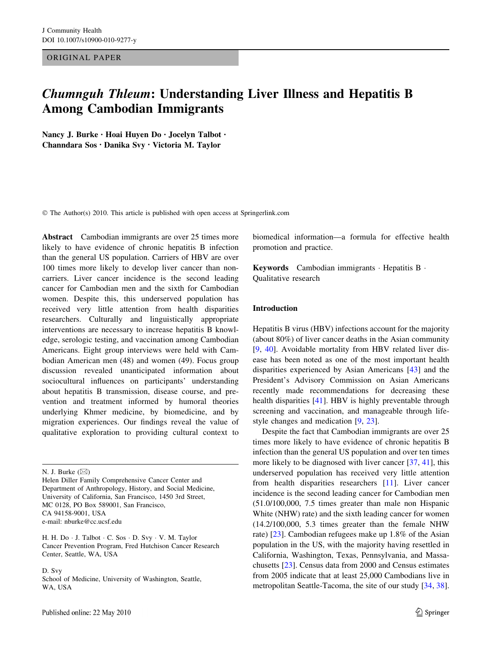## ORIGINAL PAPER

# Chumnguh Thleum: Understanding Liver Illness and Hepatitis B Among Cambodian Immigrants

Nancy J. Burke • Hoai Huyen Do • Jocelyn Talbot • Channdara Sos • Danika Svy • Victoria M. Taylor

© The Author(s) 2010. This article is published with open access at Springerlink.com

Abstract Cambodian immigrants are over 25 times more likely to have evidence of chronic hepatitis B infection than the general US population. Carriers of HBV are over 100 times more likely to develop liver cancer than noncarriers. Liver cancer incidence is the second leading cancer for Cambodian men and the sixth for Cambodian women. Despite this, this underserved population has received very little attention from health disparities researchers. Culturally and linguistically appropriate interventions are necessary to increase hepatitis B knowledge, serologic testing, and vaccination among Cambodian Americans. Eight group interviews were held with Cambodian American men (48) and women (49). Focus group discussion revealed unanticipated information about sociocultural influences on participants' understanding about hepatitis B transmission, disease course, and prevention and treatment informed by humoral theories underlying Khmer medicine, by biomedicine, and by migration experiences. Our findings reveal the value of qualitative exploration to providing cultural context to

N. J. Burke  $(\boxtimes)$ 

Helen Diller Family Comprehensive Cancer Center and Department of Anthropology, History, and Social Medicine, University of California, San Francisco, 1450 3rd Street, MC 0128, PO Box 589001, San Francisco, CA 94158-9001, USA e-mail: nburke@cc.ucsf.edu

H. H. Do - J. Talbot - C. Sos - D. Svy - V. M. Taylor Cancer Prevention Program, Fred Hutchison Cancer Research Center, Seattle, WA, USA

D. Svy School of Medicine, University of Washington, Seattle, WA, USA

biomedical information—a formula for effective health promotion and practice.

Keywords Cambodian immigrants · Hepatitis B · Qualitative research

#### Introduction

Hepatitis B virus (HBV) infections account for the majority (about 80%) of liver cancer deaths in the Asian community [\[9](#page-6-0), [40\]](#page-7-0). Avoidable mortality from HBV related liver disease has been noted as one of the most important health disparities experienced by Asian Americans [\[43](#page-7-0)] and the President's Advisory Commission on Asian Americans recently made recommendations for decreasing these health disparities [\[41\]](#page-7-0). HBV is highly preventable through screening and vaccination, and manageable through lifestyle changes and medication [[9,](#page-6-0) [23\]](#page-7-0).

Despite the fact that Cambodian immigrants are over 25 times more likely to have evidence of chronic hepatitis B infection than the general US population and over ten times more likely to be diagnosed with liver cancer [[37,](#page-7-0) [41](#page-7-0)], this underserved population has received very little attention from health disparities researchers [[11\]](#page-6-0). Liver cancer incidence is the second leading cancer for Cambodian men (51.0/100,000, 7.5 times greater than male non Hispanic White (NHW) rate) and the sixth leading cancer for women (14.2/100,000, 5.3 times greater than the female NHW rate) [[23\]](#page-7-0). Cambodian refugees make up 1.8% of the Asian population in the US, with the majority having resettled in California, Washington, Texas, Pennsylvania, and Massachusetts [\[23](#page-7-0)]. Census data from 2000 and Census estimates from 2005 indicate that at least 25,000 Cambodians live in metropolitan Seattle-Tacoma, the site of our study [\[34](#page-7-0), [38](#page-7-0)].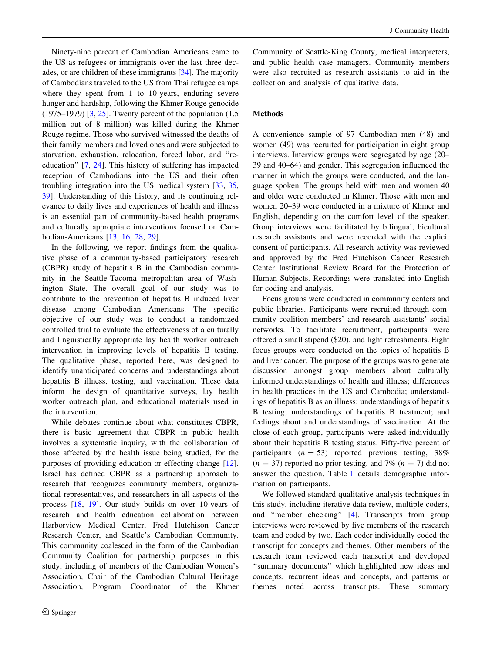Ninety-nine percent of Cambodian Americans came to the US as refugees or immigrants over the last three decades, or are children of these immigrants [\[34](#page-7-0)]. The majority of Cambodians traveled to the US from Thai refugee camps where they spent from 1 to 10 years, enduring severe hunger and hardship, following the Khmer Rouge genocide (1975–1979) [[3](#page-6-0), [25\]](#page-7-0). Twenty percent of the population (1.5 million out of 8 million) was killed during the Khmer Rouge regime. Those who survived witnessed the deaths of their family members and loved ones and were subjected to starvation, exhaustion, relocation, forced labor, and ''reeducation'' [\[7](#page-6-0), [24](#page-7-0)]. This history of suffering has impacted reception of Cambodians into the US and their often troubling integration into the US medical system [[33](#page-7-0), [35,](#page-7-0) [39](#page-7-0)]. Understanding of this history, and its continuing relevance to daily lives and experiences of health and illness is an essential part of community-based health programs and culturally appropriate interventions focused on Cambodian-Americans [[13,](#page-6-0) [16](#page-6-0), [28](#page-7-0), [29\]](#page-7-0).

In the following, we report findings from the qualitative phase of a community-based participatory research (CBPR) study of hepatitis B in the Cambodian community in the Seattle-Tacoma metropolitan area of Washington State. The overall goal of our study was to contribute to the prevention of hepatitis B induced liver disease among Cambodian Americans. The specific objective of our study was to conduct a randomized controlled trial to evaluate the effectiveness of a culturally and linguistically appropriate lay health worker outreach intervention in improving levels of hepatitis B testing. The qualitative phase, reported here, was designed to identify unanticipated concerns and understandings about hepatitis B illness, testing, and vaccination. These data inform the design of quantitative surveys, lay health worker outreach plan, and educational materials used in the intervention.

While debates continue about what constitutes CBPR, there is basic agreement that CBPR in public health involves a systematic inquiry, with the collaboration of those affected by the health issue being studied, for the purposes of providing education or effecting change [\[12](#page-6-0)]. Israel has defined CBPR as a partnership approach to research that recognizes community members, organizational representatives, and researchers in all aspects of the process [\[18](#page-6-0), [19\]](#page-7-0). Our study builds on over 10 years of research and health education collaboration between Harborview Medical Center, Fred Hutchison Cancer Research Center, and Seattle's Cambodian Community. This community coalesced in the form of the Cambodian Community Coalition for partnership purposes in this study, including of members of the Cambodian Women's Association, Chair of the Cambodian Cultural Heritage Association, Program Coordinator of the Khmer

Community of Seattle-King County, medical interpreters, and public health case managers. Community members were also recruited as research assistants to aid in the collection and analysis of qualitative data.

# Methods

A convenience sample of 97 Cambodian men (48) and women (49) was recruited for participation in eight group interviews. Interview groups were segregated by age (20– 39 and 40–64) and gender. This segregation influenced the manner in which the groups were conducted, and the language spoken. The groups held with men and women 40 and older were conducted in Khmer. Those with men and women 20–39 were conducted in a mixture of Khmer and English, depending on the comfort level of the speaker. Group interviews were facilitated by bilingual, bicultural research assistants and were recorded with the explicit consent of participants. All research activity was reviewed and approved by the Fred Hutchison Cancer Research Center Institutional Review Board for the Protection of Human Subjects. Recordings were translated into English for coding and analysis.

Focus groups were conducted in community centers and public libraries. Participants were recruited through community coalition members' and research assistants' social networks. To facilitate recruitment, participants were offered a small stipend (\$20), and light refreshments. Eight focus groups were conducted on the topics of hepatitis B and liver cancer. The purpose of the groups was to generate discussion amongst group members about culturally informed understandings of health and illness; differences in health practices in the US and Cambodia; understandings of hepatitis B as an illness; understandings of hepatitis B testing; understandings of hepatitis B treatment; and feelings about and understandings of vaccination. At the close of each group, participants were asked individually about their hepatitis B testing status. Fifty-five percent of participants  $(n = 53)$  reported previous testing, 38%  $(n = 37)$  reported no prior testing, and 7%  $(n = 7)$  did not answer the question. Table [1](#page-2-0) details demographic information on participants.

We followed standard qualitative analysis techniques in this study, including iterative data review, multiple coders, and ''member checking'' [[4\]](#page-6-0). Transcripts from group interviews were reviewed by five members of the research team and coded by two. Each coder individually coded the transcript for concepts and themes. Other members of the research team reviewed each transcript and developed "summary documents" which highlighted new ideas and concepts, recurrent ideas and concepts, and patterns or themes noted across transcripts. These summary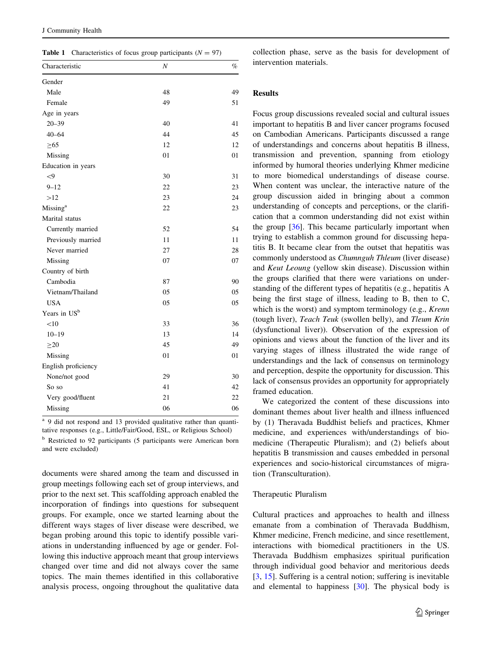<span id="page-2-0"></span>

| J Community Health |  |
|--------------------|--|
|                    |  |

|  | <b>Table 1</b> Characteristics of focus group participants $(N = 97)$ |  |  |  |  |  |  |
|--|-----------------------------------------------------------------------|--|--|--|--|--|--|
|--|-----------------------------------------------------------------------|--|--|--|--|--|--|

| Characteristic           | $\boldsymbol{N}$ | $\%$ |
|--------------------------|------------------|------|
| Gender                   |                  |      |
| Male                     | 48               | 49   |
| Female                   | 49               | 51   |
| Age in years             |                  |      |
| $20 - 39$                | 40               | 41   |
| $40 - 64$                | 44               | 45   |
| $\geq 65$                | 12               | 12   |
| Missing                  | 01               | 01   |
| Education in years       |                  |      |
| $\leq$ 9                 | 30               | 31   |
| $9 - 12$                 | 22               | 23   |
| >12                      | 23               | 24   |
| Missing <sup>a</sup>     | 22               | 23   |
| Marital status           |                  |      |
| Currently married        | 52               | 54   |
| Previously married       | 11               | 11   |
| Never married            | 27               | 28   |
| Missing                  | 07               | 07   |
| Country of birth         |                  |      |
| Cambodia                 | 87               | 90   |
| Vietnam/Thailand         | 05               | 05   |
| <b>USA</b>               | 05               | 05   |
| Years in US <sup>b</sup> |                  |      |
| <10                      | 33               | 36   |
| $10 - 19$                | 13               | 14   |
| $\geq$ 20                | 45               | 49   |
| Missing                  | 01               | 01   |
| English proficiency      |                  |      |
| None/not good            | 29               | 30   |
| So so                    | 41               | 42   |
| Very good/fluent         | 21               | 22   |
| Missing                  | 06               | 06   |

<sup>a</sup> 9 did not respond and 13 provided qualitative rather than quantitative responses (e.g., Little/Fair/Good, ESL, or Religious School)

<sup>b</sup> Restricted to 92 participants (5 participants were American born and were excluded)

documents were shared among the team and discussed in group meetings following each set of group interviews, and prior to the next set. This scaffolding approach enabled the incorporation of findings into questions for subsequent groups. For example, once we started learning about the different ways stages of liver disease were described, we began probing around this topic to identify possible variations in understanding influenced by age or gender. Following this inductive approach meant that group interviews changed over time and did not always cover the same topics. The main themes identified in this collaborative analysis process, ongoing throughout the qualitative data collection phase, serve as the basis for development of intervention materials.

# Results

Focus group discussions revealed social and cultural issues important to hepatitis B and liver cancer programs focused on Cambodian Americans. Participants discussed a range of understandings and concerns about hepatitis B illness, transmission and prevention, spanning from etiology informed by humoral theories underlying Khmer medicine to more biomedical understandings of disease course. When content was unclear, the interactive nature of the group discussion aided in bringing about a common understanding of concepts and perceptions, or the clarification that a common understanding did not exist within the group [\[36](#page-7-0)]. This became particularly important when trying to establish a common ground for discussing hepatitis B. It became clear from the outset that hepatitis was commonly understood as Chumnguh Thleum (liver disease) and Keut Leoung (yellow skin disease). Discussion within the groups clarified that there were variations on understanding of the different types of hepatitis (e.g., hepatitis A being the first stage of illness, leading to B, then to C, which is the worst) and symptom terminology (e.g., *Krenn*) (tough liver), Teach Teuk (swollen belly), and Tleum Krin (dysfunctional liver)). Observation of the expression of opinions and views about the function of the liver and its varying stages of illness illustrated the wide range of understandings and the lack of consensus on terminology and perception, despite the opportunity for discussion. This lack of consensus provides an opportunity for appropriately framed education.

We categorized the content of these discussions into dominant themes about liver health and illness influenced by (1) Theravada Buddhist beliefs and practices, Khmer medicine, and experiences with/understandings of biomedicine (Therapeutic Pluralism); and (2) beliefs about hepatitis B transmission and causes embedded in personal experiences and socio-historical circumstances of migration (Transculturation).

### Therapeutic Pluralism

Cultural practices and approaches to health and illness emanate from a combination of Theravada Buddhism, Khmer medicine, French medicine, and since resettlement, interactions with biomedical practitioners in the US. Theravada Buddhism emphasizes spiritual purification through individual good behavior and meritorious deeds [\[3](#page-6-0), [15\]](#page-6-0). Suffering is a central notion; suffering is inevitable and elemental to happiness [[30\]](#page-7-0). The physical body is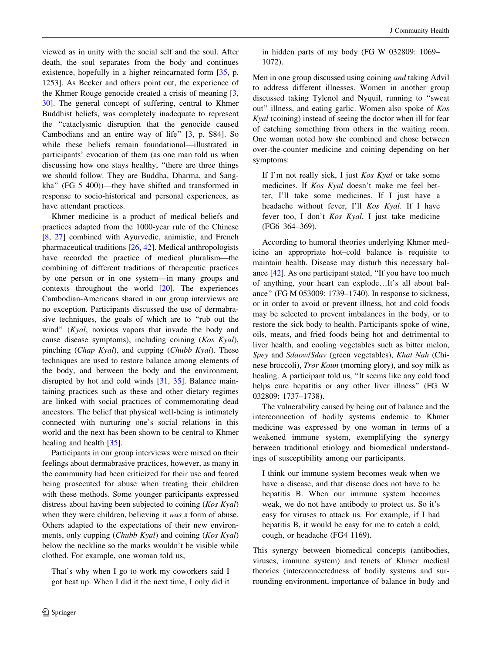viewed as in unity with the social self and the soul. After death, the soul separates from the body and continues existence, hopefully in a higher reincarnated form [\[35](#page-7-0), p. 1253]. As Becker and others point out, the experience of the Khmer Rouge genocide created a crisis of meaning [[3,](#page-6-0) [30](#page-7-0)]. The general concept of suffering, central to Khmer Buddhist beliefs, was completely inadequate to represent the ''cataclysmic disruption that the genocide caused Cambodians and an entire way of life'' [\[3](#page-6-0), p. S84]. So while these beliefs remain foundational—illustrated in participants' evocation of them (as one man told us when discussing how one stays healthy, ''there are three things we should follow. They are Buddha, Dharma, and Sangkha'' (FG 5 400))—they have shifted and transformed in response to socio-historical and personal experiences, as have attendant practices.

Khmer medicine is a product of medical beliefs and practices adapted from the 1000-year rule of the Chinese [\[8](#page-6-0), [27](#page-7-0)] combined with Ayurvedic, animistic, and French pharmaceutical traditions [[26,](#page-7-0) [42\]](#page-7-0). Medical anthropologists have recorded the practice of medical pluralism—the combining of different traditions of therapeutic practices by one person or in one system—in many groups and contexts throughout the world [\[20\]](#page-7-0). The experiences Cambodian-Americans shared in our group interviews are no exception. Participants discussed the use of dermabrasive techniques, the goals of which are to ''rub out the wind" (Kyal, noxious vapors that invade the body and cause disease symptoms), including coining (Kos Kyal), pinching (Chap Kyal), and cupping (Chubb Kyal). These techniques are used to restore balance among elements of the body, and between the body and the environment, disrupted by hot and cold winds [\[31](#page-7-0), [35\]](#page-7-0). Balance maintaining practices such as these and other dietary regimes are linked with social practices of commemorating dead ancestors. The belief that physical well-being is intimately connected with nurturing one's social relations in this world and the next has been shown to be central to Khmer healing and health [[35\]](#page-7-0).

Participants in our group interviews were mixed on their feelings about dermabrasive practices, however, as many in the community had been criticized for their use and feared being prosecuted for abuse when treating their children with these methods. Some younger participants expressed distress about having been subjected to coining (*Kos Kyal*) when they were children, believing it was a form of abuse. Others adapted to the expectations of their new environments, only cupping (Chubb Kyal) and coining (Kos Kyal) below the neckline so the marks wouldn't be visible while clothed. For example, one woman told us,

That's why when I go to work my coworkers said I got beat up. When I did it the next time, I only did it in hidden parts of my body (FG W 032809: 1069– 1072).

Men in one group discussed using coining and taking Advil to address different illnesses. Women in another group discussed taking Tylenol and Nyquil, running to ''sweat out'' illness, and eating garlic. Women also spoke of Kos Kyal (coining) instead of seeing the doctor when ill for fear of catching something from others in the waiting room. One woman noted how she combined and chose between over-the-counter medicine and coining depending on her symptoms:

If I'm not really sick, I just Kos Kyal or take some medicines. If Kos Kyal doesn't make me feel better, I'll take some medicines. If I just have a headache without fever, I'll Kos Kyal. If I have fever too, I don't Kos Kyal, I just take medicine (FG6 364–369).

According to humoral theories underlying Khmer medicine an appropriate hot–cold balance is requisite to maintain health. Disease may disturb this necessary balance [\[42](#page-7-0)]. As one participant stated, ''If you have too much of anything, your heart can explode…It's all about balance'' (FG M 053009: 1739–1740). In response to sickness, or in order to avoid or prevent illness, hot and cold foods may be selected to prevent imbalances in the body, or to restore the sick body to health. Participants spoke of wine, oils, meats, and fried foods being hot and detrimental to liver health, and cooling vegetables such as bitter melon, Spey and Sdaow/Sdav (green vegetables), Khat Nah (Chinese broccoli), Tror Koun (morning glory), and soy milk as healing. A participant told us, ''It seems like any cold food helps cure hepatitis or any other liver illness'' (FG W 032809: 1737–1738).

The vulnerability caused by being out of balance and the interconnection of bodily systems endemic to Khmer medicine was expressed by one woman in terms of a weakened immune system, exemplifying the synergy between traditional etiology and biomedical understandings of susceptibility among our participants.

I think our immune system becomes weak when we have a disease, and that disease does not have to be hepatitis B. When our immune system becomes weak, we do not have antibody to protect us. So it's easy for viruses to attack us. For example, if I had hepatitis B, it would be easy for me to catch a cold, cough, or headache (FG4 1169).

This synergy between biomedical concepts (antibodies, viruses, immune system) and tenets of Khmer medical theories (interconnectedness of bodily systems and surrounding environment, importance of balance in body and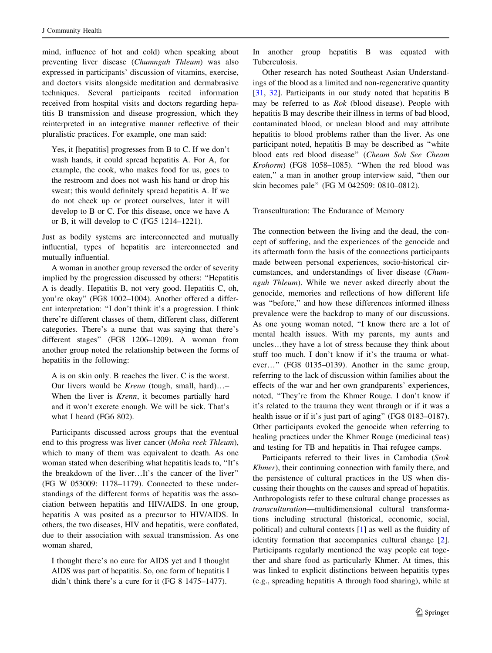mind, influence of hot and cold) when speaking about preventing liver disease (Chumnguh Thleum) was also expressed in participants' discussion of vitamins, exercise, and doctors visits alongside meditation and dermabrasive techniques. Several participants recited information received from hospital visits and doctors regarding hepatitis B transmission and disease progression, which they reinterpreted in an integrative manner reflective of their pluralistic practices. For example, one man said:

Yes, it [hepatitis] progresses from B to C. If we don't wash hands, it could spread hepatitis A. For A, for example, the cook, who makes food for us, goes to the restroom and does not wash his hand or drop his sweat; this would definitely spread hepatitis A. If we do not check up or protect ourselves, later it will develop to B or C. For this disease, once we have A or B, it will develop to C (FG5 1214–1221).

Just as bodily systems are interconnected and mutually influential, types of hepatitis are interconnected and mutually influential.

A woman in another group reversed the order of severity implied by the progression discussed by others: ''Hepatitis A is deadly. Hepatitis B, not very good. Hepatitis C, oh, you're okay'' (FG8 1002–1004). Another offered a different interpretation: ''I don't think it's a progression. I think there're different classes of them, different class, different categories. There's a nurse that was saying that there's different stages'' (FG8 1206–1209). A woman from another group noted the relationship between the forms of hepatitis in the following:

A is on skin only. B reaches the liver. C is the worst. Our livers would be Krenn (tough, small, hard)…- When the liver is *Krenn*, it becomes partially hard and it won't excrete enough. We will be sick. That's what I heard (FG6 802).

Participants discussed across groups that the eventual end to this progress was liver cancer (Moha reek Thleum), which to many of them was equivalent to death. As one woman stated when describing what hepatitis leads to, ''It's the breakdown of the liver…It's the cancer of the liver'' (FG W 053009: 1178–1179). Connected to these understandings of the different forms of hepatitis was the association between hepatitis and HIV/AIDS. In one group, hepatitis A was posited as a precursor to HIV/AIDS. In others, the two diseases, HIV and hepatitis, were conflated, due to their association with sexual transmission. As one woman shared,

I thought there's no cure for AIDS yet and I thought AIDS was part of hepatitis. So, one form of hepatitis I didn't think there's a cure for it (FG 8 1475–1477).

In another group hepatitis B was equated with Tuberculosis.

Other research has noted Southeast Asian Understandings of the blood as a limited and non-regenerative quantity [\[31](#page-7-0), [32](#page-7-0)]. Participants in our study noted that hepatitis B may be referred to as Rok (blood disease). People with hepatitis B may describe their illness in terms of bad blood, contaminated blood, or unclean blood and may attribute hepatitis to blood problems rather than the liver. As one participant noted, hepatitis B may be described as ''white blood eats red blood disease'' (Cheam Soh See Cheam Krohorm) (FG8 1058–1085). ''When the red blood was eaten,'' a man in another group interview said, ''then our skin becomes pale'' (FG M 042509: 0810–0812).

#### Transculturation: The Endurance of Memory

The connection between the living and the dead, the concept of suffering, and the experiences of the genocide and its aftermath form the basis of the connections participants made between personal experiences, socio-historical circumstances, and understandings of liver disease (Chumnguh Thleum). While we never asked directly about the genocide, memories and reflections of how different life was "before," and how these differences informed illness prevalence were the backdrop to many of our discussions. As one young woman noted, ''I know there are a lot of mental health issues. With my parents, my aunts and uncles…they have a lot of stress because they think about stuff too much. I don't know if it's the trauma or whatever…'' (FG8 0135–0139). Another in the same group, referring to the lack of discussion within families about the effects of the war and her own grandparents' experiences, noted, ''They're from the Khmer Rouge. I don't know if it's related to the trauma they went through or if it was a health issue or if it's just part of aging" (FG8 0183–0187). Other participants evoked the genocide when referring to healing practices under the Khmer Rouge (medicinal teas) and testing for TB and hepatitis in Thai refugee camps.

Participants referred to their lives in Cambodia (Srok Khmer), their continuing connection with family there, and the persistence of cultural practices in the US when discussing their thoughts on the causes and spread of hepatitis. Anthropologists refer to these cultural change processes as transculturation—multidimensional cultural transformations including structural (historical, economic, social, political) and cultural contexts [[1\]](#page-6-0) as well as the fluidity of identity formation that accompanies cultural change [\[2](#page-6-0)]. Participants regularly mentioned the way people eat together and share food as particularly Khmer. At times, this was linked to explicit distinctions between hepatitis types (e.g., spreading hepatitis A through food sharing), while at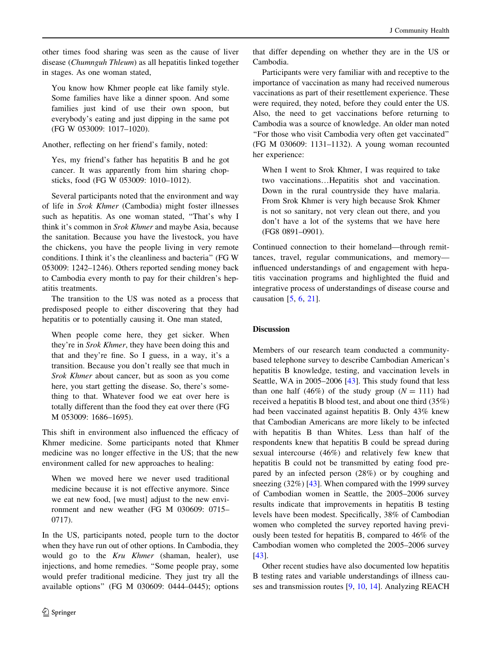other times food sharing was seen as the cause of liver disease (Chumnguh Thleum) as all hepatitis linked together in stages. As one woman stated,

You know how Khmer people eat like family style. Some families have like a dinner spoon. And some families just kind of use their own spoon, but everybody's eating and just dipping in the same pot (FG W 053009: 1017–1020).

Another, reflecting on her friend's family, noted:

Yes, my friend's father has hepatitis B and he got cancer. It was apparently from him sharing chopsticks, food (FG W 053009: 1010–1012).

Several participants noted that the environment and way of life in Srok Khmer (Cambodia) might foster illnesses such as hepatitis. As one woman stated, ''That's why I think it's common in Srok Khmer and maybe Asia, because the sanitation. Because you have the livestock, you have the chickens, you have the people living in very remote conditions. I think it's the cleanliness and bacteria'' (FG W 053009: 1242–1246). Others reported sending money back to Cambodia every month to pay for their children's hepatitis treatments.

The transition to the US was noted as a process that predisposed people to either discovering that they had hepatitis or to potentially causing it. One man stated,

When people come here, they get sicker. When they're in Srok Khmer, they have been doing this and that and they're fine. So I guess, in a way, it's a transition. Because you don't really see that much in Srok Khmer about cancer, but as soon as you come here, you start getting the disease. So, there's something to that. Whatever food we eat over here is totally different than the food they eat over there (FG M 053009: 1686–1695).

This shift in environment also influenced the efficacy of Khmer medicine. Some participants noted that Khmer medicine was no longer effective in the US; that the new environment called for new approaches to healing:

When we moved here we never used traditional medicine because it is not effective anymore. Since we eat new food, [we must] adjust to the new environment and new weather (FG M 030609: 0715– 0717).

In the US, participants noted, people turn to the doctor when they have run out of other options. In Cambodia, they would go to the Kru Khmer (shaman, healer), use injections, and home remedies. ''Some people pray, some would prefer traditional medicine. They just try all the available options'' (FG M 030609: 0444–0445); options

that differ depending on whether they are in the US or Cambodia.

Participants were very familiar with and receptive to the importance of vaccination as many had received numerous vaccinations as part of their resettlement experience. These were required, they noted, before they could enter the US. Also, the need to get vaccinations before returning to Cambodia was a source of knowledge. An older man noted ''For those who visit Cambodia very often get vaccinated'' (FG M 030609: 1131–1132). A young woman recounted her experience:

When I went to Srok Khmer, I was required to take two vaccinations…Hepatitis shot and vaccination. Down in the rural countryside they have malaria. From Srok Khmer is very high because Srok Khmer is not so sanitary, not very clean out there, and you don't have a lot of the systems that we have here (FG8 0891–0901).

Continued connection to their homeland—through remittances, travel, regular communications, and memory influenced understandings of and engagement with hepatitis vaccination programs and highlighted the fluid and integrative process of understandings of disease course and causation [[5,](#page-6-0) [6](#page-6-0), [21](#page-7-0)].

## Discussion

Members of our research team conducted a communitybased telephone survey to describe Cambodian American's hepatitis B knowledge, testing, and vaccination levels in Seattle, WA in 2005–2006 [[43\]](#page-7-0). This study found that less than one half (46%) of the study group ( $N = 111$ ) had received a hepatitis B blood test, and about one third (35%) had been vaccinated against hepatitis B. Only 43% knew that Cambodian Americans are more likely to be infected with hepatitis B than Whites. Less than half of the respondents knew that hepatitis B could be spread during sexual intercourse (46%) and relatively few knew that hepatitis B could not be transmitted by eating food prepared by an infected person (28%) or by coughing and sneezing (32%) [\[43](#page-7-0)]. When compared with the 1999 survey of Cambodian women in Seattle, the 2005–2006 survey results indicate that improvements in hepatitis B testing levels have been modest. Specifically, 38% of Cambodian women who completed the survey reported having previously been tested for hepatitis B, compared to 46% of the Cambodian women who completed the 2005–2006 survey [\[43](#page-7-0)].

Other recent studies have also documented low hepatitis B testing rates and variable understandings of illness causes and transmission routes [[9](#page-6-0), [10](#page-6-0), [14](#page-6-0)]. Analyzing REACH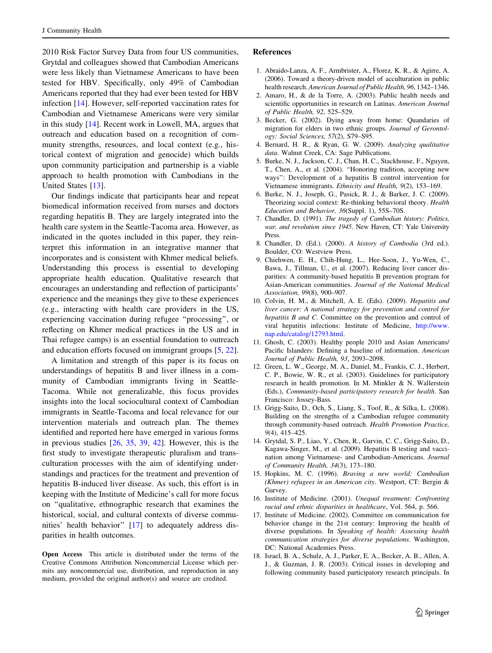<span id="page-6-0"></span>2010 Risk Factor Survey Data from four US communities, Grytdal and colleagues showed that Cambodian Americans were less likely than Vietnamese Americans to have been tested for HBV. Specifically, only 49% of Cambodian Americans reported that they had ever been tested for HBV infection [14]. However, self-reported vaccination rates for Cambodian and Vietnamese Americans were very similar in this study [14]. Recent work in Lowell, MA, argues that outreach and education based on a recognition of community strengths, resources, and local context (e.g., historical context of migration and genocide) which builds upon community participation and partnership is a viable approach to health promotion with Cambodians in the United States [13].

Our findings indicate that participants hear and repeat biomedical information received from nurses and doctors regarding hepatitis B. They are largely integrated into the health care system in the Seattle-Tacoma area. However, as indicated in the quotes included in this paper, they reinterpret this information in an integrative manner that incorporates and is consistent with Khmer medical beliefs. Understanding this process is essential to developing appropriate health education. Qualitative research that encourages an understanding and reflection of participants' experience and the meanings they give to these experiences (e.g., interacting with health care providers in the US, experiencing vaccination during refugee ''processing'', or reflecting on Khmer medical practices in the US and in Thai refugee camps) is an essential foundation to outreach and education efforts focused on immigrant groups [5, [22](#page-7-0)].

A limitation and strength of this paper is its focus on understandings of hepatitis B and liver illness in a community of Cambodian immigrants living in Seattle-Tacoma. While not generalizable, this focus provides insights into the local sociocultural context of Cambodian immigrants in Seattle-Tacoma and local relevance for our intervention materials and outreach plan. The themes identified and reported here have emerged in various forms in previous studies [\[26](#page-7-0), [35](#page-7-0), [39,](#page-7-0) [42](#page-7-0)]. However, this is the first study to investigate therapeutic pluralism and transculturation processes with the aim of identifying understandings and practices for the treatment and prevention of hepatitis B-induced liver disease. As such, this effort is in keeping with the Institute of Medicine's call for more focus on ''qualitative, ethnographic research that examines the historical, social, and cultural contexts of diverse communities' health behavior'' [17] to adequately address disparities in health outcomes.

Open Access This article is distributed under the terms of the Creative Commons Attribution Noncommercial License which permits any noncommercial use, distribution, and reproduction in any medium, provided the original author(s) and source are credited.

## References

- 1. Abraido-Lanza, A. F., Armbrister, A., Florez, K. R., & Agirre, A. (2006). Toward a theory-driven model of acculturation in public health research. American Journal of Public Health, 96, 1342–1346.
- 2. Amaro, H., & de la Torre, A. (2003). Public health needs and scientific opportunities in research on Latinas. American Journal of Public Health, 92, 525–529.
- 3. Becker, G. (2002). Dying away from home: Quandaries of migration for elders in two ethnic groups. Journal of Gerontology: Social Sciences, 57(2), S79–S95.
- 4. Bernard, H. R., & Ryan, G. W. (2009). Analyzing qualitative data. Walnut Creek, CA: Sage Publications.
- 5. Burke, N. J., Jackson, C. J., Chan, H. C., Stackhouse, F., Nguyen, T., Chen, A., et al. (2004). ''Honoring tradition, accepting new ways'': Development of a hepatitis B control intervention for Vietnamese immigrants. Ethnicity and Health, 9(2), 153–169.
- 6. Burke, N. J., Joseph, G., Pasick, R. J., & Barker, J. C. (2009). Theorizing social context: Re-thinking behavioral theory. Health Education and Behavior, 36(Suppl. 1), 55S–70S.
- 7. Chandler, D. (1991). The tragedy of Cambodian history: Politics, war, and revolution since 1945. New Haven, CT: Yale University Press.
- 8. Chandler, D. (Ed.). (2000). A history of Cambodia (3rd ed.). Boulder, CO: Westview Press.
- 9. Chiehwen, E. H., Chih-Hung, L., Hee-Soon, J., Yu-Wen, C., Bawa, J., Tillman, U., et al. (2007). Reducing liver cancer disparities: A community-based hepatitis B prevention program for Asian-American communities. Journal of the National Medical Association, 99(8), 900–907.
- 10. Colvin, H. M., & Mitchell, A. E. (Eds). (2009). Hepatitis and liver cancer: A national strategy for prevention and control for hepatitis B and C. Committee on the prevention and control of viral hepatitis infections: Institute of Medicine, [http://www.](http://www.nap.edu/catalog/12793.html) [nap.edu/catalog/12793.html.](http://www.nap.edu/catalog/12793.html)
- 11. Ghosh, C. (2003). Healthy people 2010 and Asian Americans/ Pacific Islanders: Defining a baseline of information. American Journal of Public Health, 93, 2093–2098.
- 12. Green, L. W., George, M. A., Daniel, M., Frankis, C. J., Herbert, C. P., Bowie, W. R., et al. (2003). Guidelines for participatory research in health promotion. In M. Minkler & N. Wallerstein (Eds.), Community-based participatory research for health. San Francisco: Jossey-Bass.
- 13. Grigg-Saito, D., Och, S., Liang, S., Toof, R., & Silka, L. (2008). Building on the strengths of a Cambodian refugee community through community-based outreach. Health Promotion Practice, 9(4), 415–425.
- 14. Grytdal, S. P., Liao, Y., Chen, R., Garvin, C. C., Grigg-Saito, D., Kagawa-Singer, M., et al. (2009). Hepatitis B testing and vaccination among Vietnamese- and Cambodian-Americans. Journal of Community Health, 34(3), 173–180.
- 15. Hopkins, M. C. (1996). Braving a new world: Cambodian (Khmer) refugees in an American city. Westport, CT: Bergin & Garvey.
- 16. Institute of Medicine. (2001). Unequal treatment: Confronting racial and ethnic disparities in healthcare, Vol. 564, p. 566.
- 17. Institute of Medicine. (2002). Committee on communication for behavior change in the 21st century: Improving the health of diverse populations. In Speaking of health: Assessing health communication strategies for diverse populations. Washington, DC: National Academies Press.
- 18. Israel, B. A., Schulz, A. J., Parker, E. A., Becker, A. B., Allen, A. J., & Guzman, J. R. (2003). Critical issues in developing and following community based participatory research principals. In